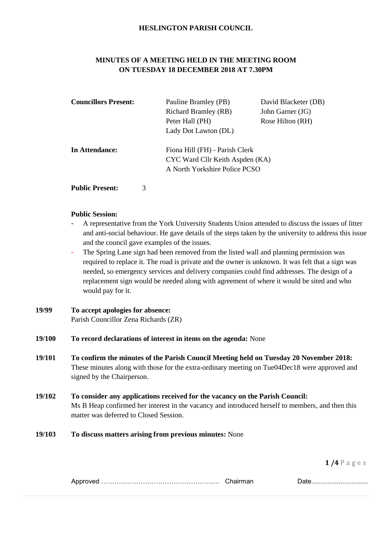### **HESLINGTON PARISH COUNCIL**

# **MINUTES OF A MEETING HELD IN THE MEETING ROOM ON TUESDAY 18 DECEMBER 2018 AT 7.30PM**

| <b>Councillors Present:</b>                                                         | Pauline Bramley (PB)          | David Blacketer (DB) |
|-------------------------------------------------------------------------------------|-------------------------------|----------------------|
|                                                                                     | <b>Richard Bramley (RB)</b>   | John Garner (JG)     |
|                                                                                     | Peter Hall (PH)               | Rose Hilton (RH)     |
|                                                                                     | Lady Dot Lawton (DL)          |                      |
| Fiona Hill (FH) - Parish Clerk<br>In Attendance:<br>CYC Ward Cllr Keith Aspden (KA) |                               |                      |
|                                                                                     | A North Yorkshire Police PCSO |                      |
|                                                                                     |                               |                      |

**Public Present:** 3

#### **Public Session:**

- A representative from the York University Students Union attended to discuss the issues of litter and anti-social behaviour. He gave details of the steps taken by the university to address this issue and the council gave examples of the issues.
- The Spring Lane sign had been removed from the listed wall and planning permission was required to replace it. The road is private and the owner is unknown. It was felt that a sign was needed, so emergency services and delivery companies could find addresses. The design of a replacement sign would be needed along with agreement of where it would be sited and who would pay for it.
- **19/99 To accept apologies for absence:** Parish Councillor Zena Richards (ZR)
- **19/100 To record declarations of interest in items on the agenda:** None
- **19/101 To confirm the minutes of the Parish Council Meeting held on Tuesday 20 November 2018:** These minutes along with those for the extra-ordinary meeting on Tue04Dec18 were approved and signed by the Chairperson.
- **19/102 To consider any applications received for the vacancy on the Parish Council:** Ms B Heap confirmed her interest in the vacancy and introduced herself to members, and then this matter was deferred to Closed Session.

#### **19/103 To discuss matters arising from previous minutes:** None

| . |  | <u>Dalv</u> |
|---|--|-------------|
|---|--|-------------|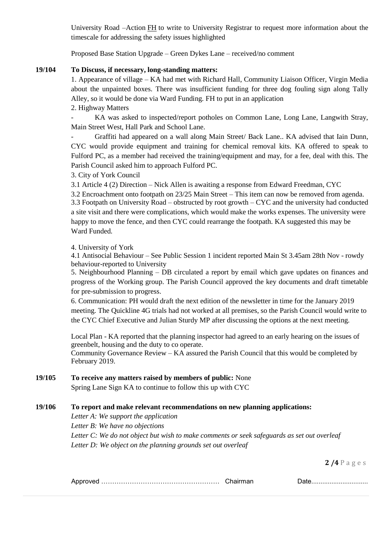University Road –Action FH to write to University Registrar to request more information about the timescale for addressing the safety issues highlighted

Proposed Base Station Upgrade – Green Dykes Lane – received/no comment

## **19/104 To Discuss, if necessary, long-standing matters:**

1. Appearance of village – KA had met with Richard Hall, Community Liaison Officer, Virgin Media about the unpainted boxes. There was insufficient funding for three dog fouling sign along Tally Alley, so it would be done via Ward Funding. FH to put in an application

2. Highway Matters

- KA was asked to inspected/report potholes on Common Lane, Long Lane, Langwith Stray, Main Street West, Hall Park and School Lane.

- Graffiti had appeared on a wall along Main Street/ Back Lane.. KA advised that Iain Dunn, CYC would provide equipment and training for chemical removal kits. KA offered to speak to Fulford PC, as a member had received the training/equipment and may, for a fee, deal with this. The Parish Council asked him to approach Fulford PC.

3. City of York Council

3.1 Article 4 (2) Direction – Nick Allen is awaiting a response from Edward Freedman, CYC

3.2 Encroachment onto footpath on 23/25 Main Street – This item can now be removed from agenda. 3.3 Footpath on University Road – obstructed by root growth – CYC and the university had conducted a site visit and there were complications, which would make the works expenses. The university were happy to move the fence, and then CYC could rearrange the footpath. KA suggested this may be Ward Funded.

### 4. University of York

4.1 Antisocial Behaviour – See Public Session 1 incident reported Main St 3.45am 28th Nov - rowdy behaviour-reported to University

5. Neighbourhood Planning – DB circulated a report by email which gave updates on finances and progress of the Working group. The Parish Council approved the key documents and draft timetable for pre-submission to progress.

6. Communication: PH would draft the next edition of the newsletter in time for the January 2019 meeting. The Quickline 4G trials had not worked at all premises, so the Parish Council would write to the CYC Chief Executive and Julian Sturdy MP after discussing the options at the next meeting.

Local Plan - KA reported that the planning inspector had agreed to an early hearing on the issues of greenbelt, housing and the duty to co operate.

Community Governance Review – KA assured the Parish Council that this would be completed by February 2019.

## **19/105 To receive any matters raised by members of public:** None

Spring Lane Sign KA to continue to follow this up with CYC

# **19/106 To report and make relevant recommendations on new planning applications:**

*Letter A: We support the application Letter B: We have no objections Letter C: We do not object but wish to make comments or seek safeguards as set out overleaf Letter D: We object on the planning grounds set out overleaf*

|--|--|--|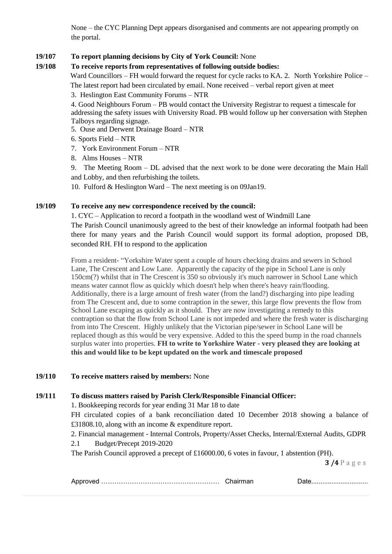None – the CYC Planning Dept appears disorganised and comments are not appearing promptly on the portal.

# **19/107 To report planning decisions by City of York Council:** None

# **19/108 To receive reports from representatives of following outside bodies:**

Ward Councillors – FH would forward the request for cycle racks to KA. 2. North Yorkshire Police –

The latest report had been circulated by email. None received – verbal report given at meet

3. Heslington East Community Forums – NTR

4. Good Neighbours Forum – PB would contact the University Registrar to request a timescale for addressing the safety issues with University Road. PB would follow up her conversation with Stephen Talboys regarding signage.

- 5. Ouse and Derwent Drainage Board NTR
- 6. Sports Field NTR
- 7. York Environment Forum NTR
- 8. Alms Houses NTR

9. The Meeting Room – DL advised that the next work to be done were decorating the Main Hall and Lobby, and then refurbishing the toilets.

10. Fulford & Heslington Ward – The next meeting is on 09Jan19.

### **19/109 To receive any new correspondence received by the council:**

1. CYC – Application to record a footpath in the woodland west of Windmill Lane The Parish Council unanimously agreed to the best of their knowledge an informal footpath had been there for many years and the Parish Council would support its formal adoption, proposed DB, seconded RH. FH to respond to the application

From a resident- "Yorkshire Water spent a couple of hours checking drains and sewers in School Lane, The Crescent and Low Lane. Apparently the capacity of the pipe in School Lane is only 150cm(?) whilst that in The Crescent is 350 so obviously it's much narrower in School Lane which means water cannot flow as quickly which doesn't help when there's heavy rain/flooding. Additionally, there is a large amount of fresh water (from the land?) discharging into pipe leading from The Crescent and, due to some contraption in the sewer, this large flow prevents the flow from School Lane escaping as quickly as it should. They are now investigating a remedy to this contraption so that the flow from School Lane is not impeded and where the fresh water is discharging from into The Crescent. Highly unlikely that the Victorian pipe/sewer in School Lane will be replaced though as this would be very expensive. Added to this the speed bump in the road channels surplus water into properties. **FH to write to Yorkshire Water - very pleased they are looking at this and would like to be kept updated on the work and timescale proposed**

#### **19/110 To receive matters raised by members:** None

## **19/111 To discuss matters raised by Parish Clerk/Responsible Financial Officer:**

1. Bookkeeping records for year ending 31 Mar 18 to date

FH circulated copies of a bank reconciliation dated 10 December 2018 showing a balance of £31808.10, along with an income & expenditure report.

2. Financial management - Internal Controls, Property/Asset Checks, Internal/External Audits, GDPR

2.1 Budget/Precept 2019-2020

The Parish Council approved a precept of £16000.00, 6 votes in favour, 1 abstention (PH).

|--|--|--|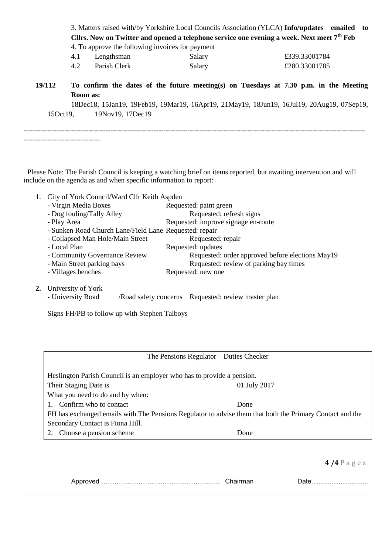| Cllrs. Now on Twitter and opened a telephone service one evening a week. Next meet $7th$ Feb<br>4. To approve the following invoices for payment<br>4.1<br>£339.33001784<br>Lengthsman<br>Salary<br>4.2<br>Parish Clerk<br>£280.33001785<br>Salary<br>19/112<br>To confirm the dates of the future meeting(s) on Tuesdays at 7.30 p.m. in the Meeting<br>Room as:<br>18Dec18, 15Jan19, 19Feb19, 19Mar19, 16Apr19, 21May19, 18Jun19, 16Jul19, 20Aug19, 07Sep19,<br>19Nov19, 17Dec19<br>150ct19. |  |  | 3. Matters raised with/by Yorkshire Local Councils Association (YLCA) Info/updates emailed to |
|------------------------------------------------------------------------------------------------------------------------------------------------------------------------------------------------------------------------------------------------------------------------------------------------------------------------------------------------------------------------------------------------------------------------------------------------------------------------------------------------|--|--|-----------------------------------------------------------------------------------------------|
|                                                                                                                                                                                                                                                                                                                                                                                                                                                                                                |  |  |                                                                                               |
|                                                                                                                                                                                                                                                                                                                                                                                                                                                                                                |  |  |                                                                                               |
|                                                                                                                                                                                                                                                                                                                                                                                                                                                                                                |  |  |                                                                                               |
|                                                                                                                                                                                                                                                                                                                                                                                                                                                                                                |  |  |                                                                                               |
|                                                                                                                                                                                                                                                                                                                                                                                                                                                                                                |  |  |                                                                                               |
|                                                                                                                                                                                                                                                                                                                                                                                                                                                                                                |  |  |                                                                                               |
|                                                                                                                                                                                                                                                                                                                                                                                                                                                                                                |  |  |                                                                                               |
|                                                                                                                                                                                                                                                                                                                                                                                                                                                                                                |  |  |                                                                                               |
|                                                                                                                                                                                                                                                                                                                                                                                                                                                                                                |  |  |                                                                                               |

 Please Note: The Parish Council is keeping a watching brief on items reported, but awaiting intervention and will include on the agenda as and when specific information to report:

- 1. City of York Council/Ward Cllr Keith Aspden
	- Virgin Media Boxes Requested: paint green
	- Dog fouling/Tally Alley Requested: refresh signs
	- Play Area Requested: improve signage en-route
	- Sunken Road Church Lane/Field Lane Requested: repair
	- Collapsed Man Hole/Main Street Requested: repair
	- Local Plan Requested: updates
	- Community Governance Review Requested: order approved before elections May19<br>- Main Street parking bays Requested: review of parking bay times
	- Requested: review of parking bay times
	- Villages benches Requested: new one
- **2.** University of York

--------------------------------

- University Road / Road safety concerns Requested: review master plan

Signs FH/PB to follow up with Stephen Talboys

| The Pensions Regulator – Duties Checker                                                                  |      |  |  |  |
|----------------------------------------------------------------------------------------------------------|------|--|--|--|
| Heslington Parish Council is an employer who has to provide a pension.                                   |      |  |  |  |
| Their Staging Date is<br>01 July 2017                                                                    |      |  |  |  |
| What you need to do and by when:                                                                         |      |  |  |  |
| 1. Confirm who to contact                                                                                | Done |  |  |  |
| FH has exchanged emails with The Pensions Regulator to advise them that both the Primary Contact and the |      |  |  |  |
| Secondary Contact is Fiona Hill.                                                                         |      |  |  |  |
| Choose a pension scheme                                                                                  | Done |  |  |  |